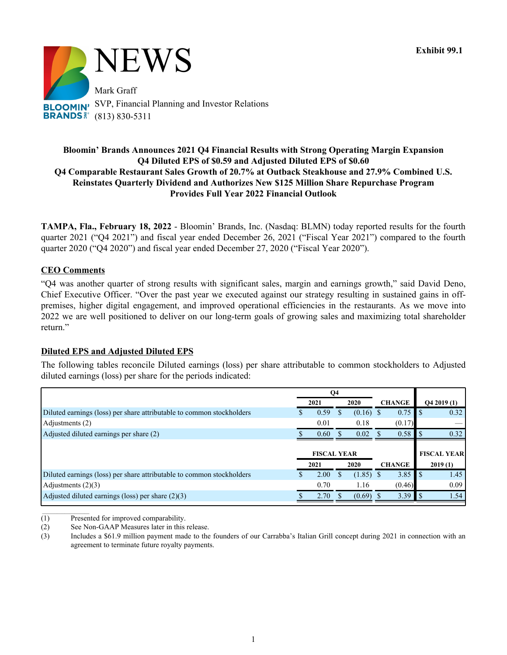

# **Bloomin' Brands Announces 2021 Q4 Financial Results with Strong Operating Margin Expansion Q4 Diluted EPS of \$0.59 and Adjusted Diluted EPS of \$0.60 Q4 Comparable Restaurant Sales Growth of 20.7% at Outback Steakhouse and 27.9% Combined U.S. Reinstates Quarterly Dividend and Authorizes New \$125 Million Share Repurchase Program Provides Full Year 2022 Financial Outlook**

**TAMPA, Fla., February 18, 2022** - Bloomin' Brands, Inc. (Nasdaq: BLMN) today reported results for the fourth quarter 2021 ("Q4 2021") and fiscal year ended December 26, 2021 ("Fiscal Year 2021") compared to the fourth quarter 2020 ("Q4 2020") and fiscal year ended December 27, 2020 ("Fiscal Year 2020").

## **CEO Comments**

"Q4 was another quarter of strong results with significant sales, margin and earnings growth," said David Deno, Chief Executive Officer. "Over the past year we executed against our strategy resulting in sustained gains in offpremises, higher digital engagement, and improved operational efficiencies in the restaurants. As we move into 2022 we are well positioned to deliver on our long-term goals of growing sales and maximizing total shareholder return."

## **Diluted EPS and Adjusted Diluted EPS**

The following tables reconcile Diluted earnings (loss) per share attributable to common stockholders to Adjusted diluted earnings (loss) per share for the periods indicated:

| Q4 |                    |              |      |  |                                      |                                |                                                  |
|----|--------------------|--------------|------|--|--------------------------------------|--------------------------------|--------------------------------------------------|
|    |                    |              | 2020 |  |                                      |                                | Q42019(1)                                        |
|    | 0.59               |              |      |  |                                      | l S                            | 0.32                                             |
|    | 0.01               |              | 0.18 |  |                                      |                                |                                                  |
|    | 0.60               |              | 0.02 |  |                                      |                                | 0.32                                             |
|    |                    |              |      |  |                                      |                                |                                                  |
|    | <b>FISCAL YEAR</b> |              |      |  |                                      |                                | <b>FISCAL YEAR</b>                               |
|    |                    |              | 2020 |  |                                      |                                | 2019(1)                                          |
|    | 2.00               |              |      |  |                                      | l S                            | 1.45                                             |
|    | 0.70               |              | 1.16 |  |                                      |                                | 0.09                                             |
|    | 2.70               |              |      |  |                                      | l S                            | 1.54                                             |
|    |                    | 2021<br>2021 |      |  | $(0.16)$ \$<br>$(1.85)$ \$<br>(0.69) | <b>CHANGE</b><br><b>CHANGE</b> | 0.75<br>(0.17)<br>0.58<br>3.85<br>(0.46)<br>3.39 |

 $\frac{1}{2}$  and  $\frac{1}{2}$  and  $\frac{1}{2}$  and  $\frac{1}{2}$  and  $\frac{1}{2}$ (1) Presented for improved comparability.

(2) See Non-GAAP Measures later in this release.

<sup>(3)</sup> Includes a \$61.9 million payment made to the founders of our Carrabba's Italian Grill concept during 2021 in connection with an agreement to terminate future royalty payments.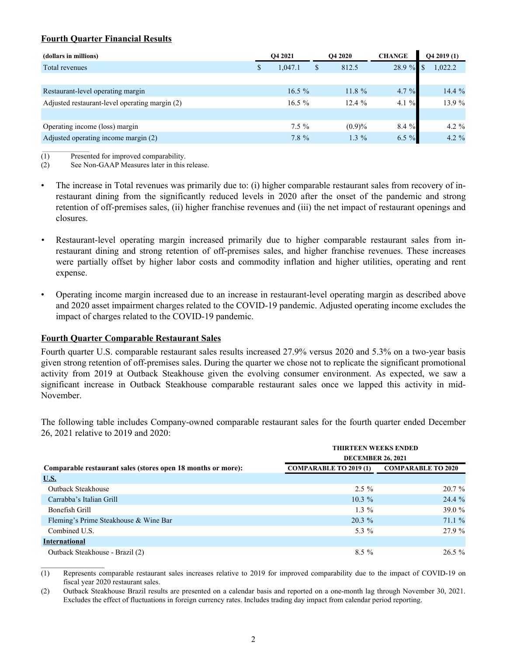# **Fourth Quarter Financial Results**

| (dollars in millions)                          | <b>O4 2021</b> |          | <b>O4 2020</b> |           | <b>CHANGE</b> |  | Q42019(1) |  |
|------------------------------------------------|----------------|----------|----------------|-----------|---------------|--|-----------|--|
| Total revenues                                 | \$             | 1,047.1  |                | 812.5     | 28.9 %        |  | 1,022.2   |  |
|                                                |                |          |                |           |               |  |           |  |
| Restaurant-level operating margin              |                | $16.5\%$ |                | $11.8 \%$ | 4.7 %         |  | 14.4%     |  |
| Adjusted restaurant-level operating margin (2) |                | $16.5\%$ |                | 12.4%     | 4.1 $%$       |  | 13.9 %    |  |
|                                                |                |          |                |           |               |  |           |  |
| Operating income (loss) margin                 |                | $7.5 \%$ |                | (0.9)%    | 8.4 %         |  | 4.2 $\%$  |  |
| Adjusted operating income margin (2)           |                | $7.8 \%$ |                | $1.3\%$   | 6.5 $%$       |  | 4.2 $\%$  |  |

 $\frac{1}{2}$  and  $\frac{1}{2}$  and  $\frac{1}{2}$  and  $\frac{1}{2}$  and  $\frac{1}{2}$ (1) Presented for improved comparability.

(2) See Non-GAAP Measures later in this release.

- The increase in Total revenues was primarily due to: (i) higher comparable restaurant sales from recovery of inrestaurant dining from the significantly reduced levels in 2020 after the onset of the pandemic and strong retention of off-premises sales, (ii) higher franchise revenues and (iii) the net impact of restaurant openings and closures.
- *•* Restaurant-level operating margin increased primarily due to higher comparable restaurant sales from inrestaurant dining and strong retention of off-premises sales, and higher franchise revenues. These increases were partially offset by higher labor costs and commodity inflation and higher utilities, operating and rent expense.
- Operating income margin increased due to an increase in restaurant-level operating margin as described above and 2020 asset impairment charges related to the COVID-19 pandemic. Adjusted operating income excludes the impact of charges related to the COVID-19 pandemic.

## **Fourth Quarter Comparable Restaurant Sales**

Fourth quarter U.S. comparable restaurant sales results increased 27.9% versus 2020 and 5.3% on a two-year basis given strong retention of off-premises sales. During the quarter we chose not to replicate the significant promotional activity from 2019 at Outback Steakhouse given the evolving consumer environment. As expected, we saw a significant increase in Outback Steakhouse comparable restaurant sales once we lapped this activity in mid-November.

The following table includes Company-owned comparable restaurant sales for the fourth quarter ended December 26, 2021 relative to 2019 and 2020:

|                                                              | <b>THIRTEEN WEEKS ENDED</b>   |                           |  |  |  |  |  |  |  |
|--------------------------------------------------------------|-------------------------------|---------------------------|--|--|--|--|--|--|--|
|                                                              | <b>DECEMBER 26, 2021</b>      |                           |  |  |  |  |  |  |  |
| Comparable restaurant sales (stores open 18 months or more): | <b>COMPARABLE TO 2019 (1)</b> | <b>COMPARABLE TO 2020</b> |  |  |  |  |  |  |  |
| U.S.                                                         |                               |                           |  |  |  |  |  |  |  |
| Outback Steakhouse                                           | $2.5 \%$                      | $20.7\%$                  |  |  |  |  |  |  |  |
| Carrabba's Italian Grill                                     | $10.3\%$                      | $24.4\%$                  |  |  |  |  |  |  |  |
| Bonefish Grill                                               | $1.3\%$                       | 39.0 $%$                  |  |  |  |  |  |  |  |
| Fleming's Prime Steakhouse & Wine Bar                        | $20.3\%$                      | 71.1%                     |  |  |  |  |  |  |  |
| Combined U.S.                                                | 5.3 %                         | 27.9 %                    |  |  |  |  |  |  |  |
| <b>International</b>                                         |                               |                           |  |  |  |  |  |  |  |
| Outback Steakhouse - Brazil (2)                              | $8.5\%$                       | $26.5\%$                  |  |  |  |  |  |  |  |

(1) Represents comparable restaurant sales increases relative to 2019 for improved comparability due to the impact of COVID-19 on fiscal year 2020 restaurant sales.

(2) Outback Steakhouse Brazil results are presented on a calendar basis and reported on a one-month lag through November 30, 2021. Excludes the effect of fluctuations in foreign currency rates. Includes trading day impact from calendar period reporting.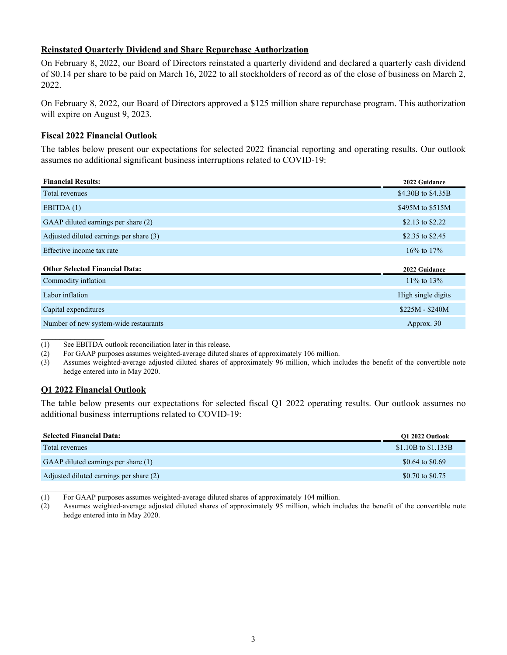# **Reinstated Quarterly Dividend and Share Repurchase Authorization**

On February 8, 2022, our Board of Directors reinstated a quarterly dividend and declared a quarterly cash dividend of \$0.14 per share to be paid on March 16, 2022 to all stockholders of record as of the close of business on March 2, 2022.

On February 8, 2022, our Board of Directors approved a \$125 million share repurchase program. This authorization will expire on August 9, 2023.

## **Fiscal 2022 Financial Outlook**

The tables below present our expectations for selected 2022 financial reporting and operating results. Our outlook assumes no additional significant business interruptions related to COVID-19:

| <b>Financial Results:</b>               | 2022 Guidance      |
|-----------------------------------------|--------------------|
| Total revenues                          | \$4.30B to \$4.35B |
| EBITDA $(1)$                            | \$495M to \$515M   |
| GAAP diluted earnings per share (2)     | \$2.13 to \$2.22   |
| Adjusted diluted earnings per share (3) | \$2.35 to \$2.45   |
| Effective income tax rate               | $16\%$ to $17\%$   |
| <b>Other Selected Financial Data:</b>   | 2022 Guidance      |
| Commodity inflation                     | $11\%$ to $13\%$   |
| Labor inflation                         | High single digits |
| Capital expenditures                    | $$225M - $240M$    |
| Number of new system-wide restaurants   | Approx. 30         |

(1) See EBITDA outlook reconciliation later in this release.

(2) For GAAP purposes assumes weighted-average diluted shares of approximately 106 million.

(3) Assumes weighted-average adjusted diluted shares of approximately 96 million, which includes the benefit of the convertible note hedge entered into in May 2020.

## **Q1 2022 Financial Outlook**

 $\mathcal{L}_\text{max}$ 

The table below presents our expectations for selected fiscal Q1 2022 operating results. Our outlook assumes no additional business interruptions related to COVID-19:

| <b>Selected Financial Data:</b>         | O1 2022 Outlook     |
|-----------------------------------------|---------------------|
| Total revenues                          | \$1.10B to \$1.135B |
| GAAP diluted earnings per share (1)     | \$0.64 to \$0.69    |
| Adjusted diluted earnings per share (2) | \$0.70 to \$0.75    |

(1) For GAAP purposes assumes weighted-average diluted shares of approximately 104 million.

(2) Assumes weighted-average adjusted diluted shares of approximately 95 million, which includes the benefit of the convertible note hedge entered into in May 2020.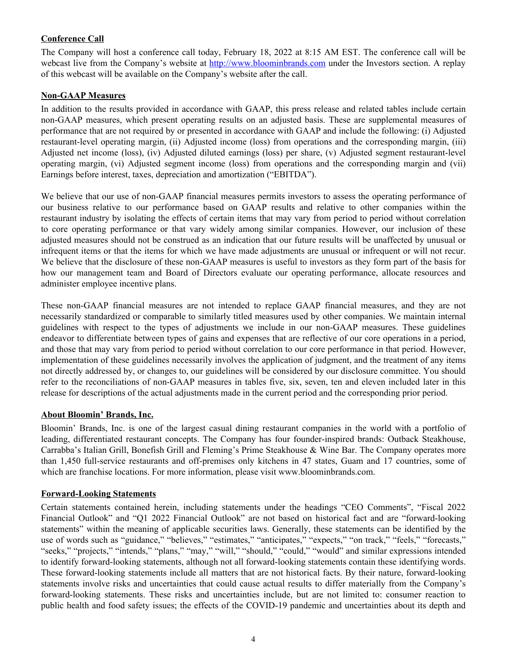# **Conference Call**

The Company will host a conference call today, February 18, 2022 at 8:15 AM EST. The conference call will be webcast live from the Company's website at http://www.bloominbrands.com under the Investors section. A replay of this webcast will be available on the Company's website after the call.

## **Non-GAAP Measures**

In addition to the results provided in accordance with GAAP, this press release and related tables include certain non-GAAP measures, which present operating results on an adjusted basis. These are supplemental measures of performance that are not required by or presented in accordance with GAAP and include the following: (i) Adjusted restaurant-level operating margin, (ii) Adjusted income (loss) from operations and the corresponding margin, (iii) Adjusted net income (loss), (iv) Adjusted diluted earnings (loss) per share, (v) Adjusted segment restaurant-level operating margin, (vi) Adjusted segment income (loss) from operations and the corresponding margin and (vii) Earnings before interest, taxes, depreciation and amortization ("EBITDA").

We believe that our use of non-GAAP financial measures permits investors to assess the operating performance of our business relative to our performance based on GAAP results and relative to other companies within the restaurant industry by isolating the effects of certain items that may vary from period to period without correlation to core operating performance or that vary widely among similar companies. However, our inclusion of these adjusted measures should not be construed as an indication that our future results will be unaffected by unusual or infrequent items or that the items for which we have made adjustments are unusual or infrequent or will not recur. We believe that the disclosure of these non-GAAP measures is useful to investors as they form part of the basis for how our management team and Board of Directors evaluate our operating performance, allocate resources and administer employee incentive plans.

These non-GAAP financial measures are not intended to replace GAAP financial measures, and they are not necessarily standardized or comparable to similarly titled measures used by other companies. We maintain internal guidelines with respect to the types of adjustments we include in our non-GAAP measures. These guidelines endeavor to differentiate between types of gains and expenses that are reflective of our core operations in a period, and those that may vary from period to period without correlation to our core performance in that period. However, implementation of these guidelines necessarily involves the application of judgment, and the treatment of any items not directly addressed by, or changes to, our guidelines will be considered by our disclosure committee. You should refer to the reconciliations of non-GAAP measures in tables five, six, seven, ten and eleven included later in this release for descriptions of the actual adjustments made in the current period and the corresponding prior period.

## **About Bloomin' Brands, Inc.**

Bloomin' Brands, Inc. is one of the largest casual dining restaurant companies in the world with a portfolio of leading, differentiated restaurant concepts. The Company has four founder-inspired brands: Outback Steakhouse, Carrabba's Italian Grill, Bonefish Grill and Fleming's Prime Steakhouse & Wine Bar. The Company operates more than 1,450 full-service restaurants and off-premises only kitchens in 47 states, Guam and 17 countries, some of which are franchise locations. For more information, please visit www.bloominbrands.com.

# **Forward-Looking Statements**

Certain statements contained herein, including statements under the headings "CEO Comments", "Fiscal 2022 Financial Outlook" and "Q1 2022 Financial Outlook" are not based on historical fact and are "forward-looking statements" within the meaning of applicable securities laws. Generally, these statements can be identified by the use of words such as "guidance," "believes," "estimates," "anticipates," "expects," "on track," "feels," "forecasts," "seeks," "projects," "intends," "plans," "may," "will," "should," "could," "would" and similar expressions intended to identify forward-looking statements, although not all forward-looking statements contain these identifying words. These forward-looking statements include all matters that are not historical facts. By their nature, forward-looking statements involve risks and uncertainties that could cause actual results to differ materially from the Company's forward-looking statements. These risks and uncertainties include, but are not limited to: consumer reaction to public health and food safety issues; the effects of the COVID-19 pandemic and uncertainties about its depth and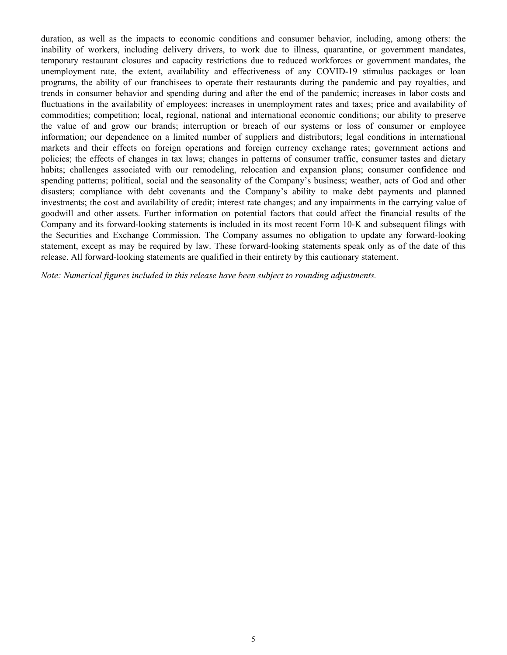duration, as well as the impacts to economic conditions and consumer behavior, including, among others: the inability of workers, including delivery drivers, to work due to illness, quarantine, or government mandates, temporary restaurant closures and capacity restrictions due to reduced workforces or government mandates, the unemployment rate, the extent, availability and effectiveness of any COVID-19 stimulus packages or loan programs, the ability of our franchisees to operate their restaurants during the pandemic and pay royalties, and trends in consumer behavior and spending during and after the end of the pandemic; increases in labor costs and fluctuations in the availability of employees; increases in unemployment rates and taxes; price and availability of commodities; competition; local, regional, national and international economic conditions; our ability to preserve the value of and grow our brands; interruption or breach of our systems or loss of consumer or employee information; our dependence on a limited number of suppliers and distributors; legal conditions in international markets and their effects on foreign operations and foreign currency exchange rates; government actions and policies; the effects of changes in tax laws; changes in patterns of consumer traffic, consumer tastes and dietary habits; challenges associated with our remodeling, relocation and expansion plans; consumer confidence and spending patterns; political, social and the seasonality of the Company's business; weather, acts of God and other disasters; compliance with debt covenants and the Company's ability to make debt payments and planned investments; the cost and availability of credit; interest rate changes; and any impairments in the carrying value of goodwill and other assets. Further information on potential factors that could affect the financial results of the Company and its forward-looking statements is included in its most recent Form 10-K and subsequent filings with the Securities and Exchange Commission. The Company assumes no obligation to update any forward-looking statement, except as may be required by law. These forward-looking statements speak only as of the date of this release. All forward-looking statements are qualified in their entirety by this cautionary statement.

*Note: Numerical figures included in this release have been subject to rounding adjustments.*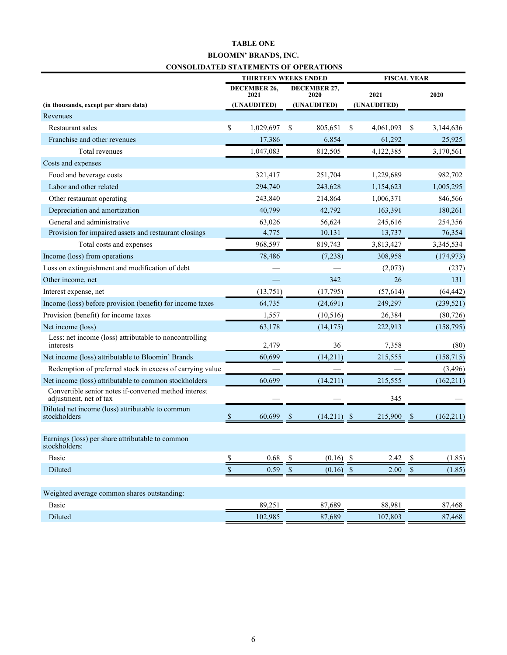## **TABLE ONE BLOOMIN' BRANDS, INC. CONSOLIDATED STATEMENTS OF OPERATIONS**

|                                                                                 | <b>THIRTEEN WEEKS ENDED</b> |                             |      |                             | <b>FISCAL YEAR</b> |           |               |            |  |
|---------------------------------------------------------------------------------|-----------------------------|-----------------------------|------|-----------------------------|--------------------|-----------|---------------|------------|--|
|                                                                                 |                             | <b>DECEMBER 26,</b><br>2021 |      | <b>DECEMBER 27,</b><br>2020 | 2021               |           |               | 2020       |  |
| (in thousands, except per share data)                                           |                             | (UNAUDITED)                 |      | (UNAUDITED)                 | (UNAUDITED)        |           |               |            |  |
| Revenues                                                                        |                             |                             |      |                             |                    |           |               |            |  |
| Restaurant sales                                                                | \$                          | 1,029,697                   | \$   | 805,651                     | \$                 | 4,061,093 | \$            | 3,144,636  |  |
| Franchise and other revenues                                                    |                             | 17,386                      |      | 6,854                       |                    | 61,292    |               | 25,925     |  |
| Total revenues                                                                  |                             | 1,047,083                   |      | 812,505                     |                    | 4,122,385 |               | 3,170,561  |  |
| Costs and expenses                                                              |                             |                             |      |                             |                    |           |               |            |  |
| Food and beverage costs                                                         |                             | 321,417                     |      | 251,704                     |                    | 1,229,689 |               | 982,702    |  |
| Labor and other related                                                         |                             | 294,740                     |      | 243,628                     |                    | 1,154,623 |               | 1,005,295  |  |
| Other restaurant operating                                                      |                             | 243,840                     |      | 214,864                     |                    | 1,006,371 |               | 846,566    |  |
| Depreciation and amortization                                                   |                             | 40,799                      |      | 42,792                      |                    | 163,391   |               | 180,261    |  |
| General and administrative                                                      |                             | 63,026                      |      | 56,624                      |                    | 245,616   |               | 254,356    |  |
| Provision for impaired assets and restaurant closings                           |                             | 4,775                       |      | 10,131                      |                    | 13,737    |               | 76,354     |  |
| Total costs and expenses                                                        |                             | 968,597                     |      | 819,743                     |                    | 3,813,427 |               | 3,345,534  |  |
| Income (loss) from operations                                                   |                             | 78,486                      |      | (7,238)                     |                    | 308,958   |               | (174, 973) |  |
| Loss on extinguishment and modification of debt                                 |                             |                             |      |                             |                    | (2,073)   |               | (237)      |  |
| Other income, net                                                               |                             |                             |      | 342                         |                    | 26        |               | 131        |  |
| Interest expense, net                                                           |                             | (13, 751)                   |      | (17, 795)                   |                    | (57, 614) |               | (64, 442)  |  |
| Income (loss) before provision (benefit) for income taxes                       |                             | 64,735                      |      | (24, 691)                   |                    | 249,297   |               | (239, 521) |  |
| Provision (benefit) for income taxes                                            |                             | 1,557                       |      | (10, 516)                   |                    | 26,384    |               | (80, 726)  |  |
| Net income (loss)                                                               |                             | 63,178                      |      | (14, 175)                   |                    | 222,913   |               | (158, 795) |  |
| Less: net income (loss) attributable to noncontrolling<br>interests             |                             | 2,479                       |      | 36                          |                    | 7,358     |               | (80)       |  |
| Net income (loss) attributable to Bloomin' Brands                               |                             | 60,699                      |      | (14,211)                    |                    | 215,555   |               | (158, 715) |  |
| Redemption of preferred stock in excess of carrying value                       |                             |                             |      |                             |                    |           |               | (3, 496)   |  |
| Net income (loss) attributable to common stockholders                           |                             | 60,699                      |      | (14,211)                    |                    | 215,555   |               | (162, 211) |  |
| Convertible senior notes if-converted method interest<br>adjustment, net of tax |                             |                             |      |                             |                    | 345       |               |            |  |
| Diluted net income (loss) attributable to common<br>stockholders                | -S                          | 60,699                      | S    | (14,211)                    | -\$                | 215,900   | <sup>\$</sup> | (162, 211) |  |
|                                                                                 |                             |                             |      |                             |                    |           |               |            |  |
| Earnings (loss) per share attributable to common<br>stockholders:               |                             |                             |      |                             |                    |           |               |            |  |
| Basic                                                                           | \$                          | 0.68                        | \$   | $(0.16)$ \$                 |                    | 2.42      | \$            | (1.85)     |  |
| Diluted                                                                         | \$                          | 0.59                        | $\$$ | (0.16)                      | $\mathcal{S}$      | $2.00\,$  | $\mathbb{S}$  | (1.85)     |  |
| Weighted average common shares outstanding:                                     |                             |                             |      |                             |                    |           |               |            |  |
| <b>Basic</b>                                                                    |                             | 89,251                      |      | 87,689                      |                    | 88,981    |               | 87,468     |  |
| Diluted                                                                         |                             | 102,985                     |      | 87,689                      |                    | 107,803   |               | 87,468     |  |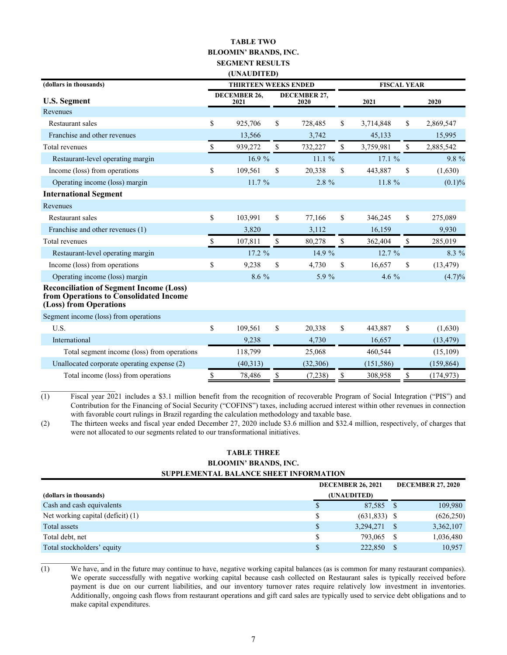### **TABLE TWO BLOOMIN' BRANDS, INC. SEGMENT RESULTS (UNAUDITED) (dollars in thousands) THIRTEEN WEEKS ENDED FISCAL YEAR U.S. Segment DECEMBER 26, 2021 DECEMBER 27, 2020 2021 2020** Revenues Restaurant sales **8** 5025,706 \$ 728,485 \$ 3,714,848 \$ 2,869,547 Franchise and other revenues 13,566 3,742 45,133 15,995 Total revenues \$ 939,272 \$ 732,227 \$ 3,759,981 \$ 2,885,542 Restaurant-level operating margin 16.9 % 11.1 % 17.1 % 9.8 % 9.8 % Income (loss) from operations  $\begin{array}{cccc} \text{S} & 109,561 & \text{S} & 20,338 & \text{S} & 443,887 & \text{S} & (1,630) \\ \end{array}$ Operating income (loss) margin 11.7 % 2.8 % 11.8 % (0.1)% (0.1) % 11.8 % (0.1) % **International Segment** Revenues Restaurant sales **8** 103,991 \$ 77,166 \$ 346,245 \$ 275,089 Franchise and other revenues (1) 3,820 3,112 16,159 9,930 Total revenues \$ 107,811 \$ 80,278 \$ 362,404 \$ 285,019 Restaurant-level operating margin  $17.2 \%$  14.9 % 12.7 % 8.3 % Income (loss) from operations  $\begin{array}{cccc} \text{S} & 9,238 & \text{S} & 4,730 & \text{S} & 16,657 & \text{S} & (13,479) \\ \end{array}$ Operating income (loss) margin 8.6 % 5.9 % 4.6 % (4.7)% (4.7) % 6.6 % (5.9 % 6.6 % (4.7) % **Reconciliation of Segment Income (Loss) from Operations to Consolidated Income (Loss) from Operations** Segment income (loss) from operations U.S. 6. 109,561 \$ 109,561 \$ 20,338 \$ 443,887 \$ (1,630) International 9,238 4,730 16,657 (13,479) Total segment income (loss) from operations 118,799 25,068 460,544 (15,109) Unallocated corporate operating expense (2) (40,313) (32,306) (151,586) (159,864) Total income (loss) from operations  $\qquad$  \$ 78,486  $\qquad$  \$ (7,238)  $\qquad$  \$ 308,958  $\qquad$  \$ (174,973)

(1) Fiscal year 2021 includes a \$3.1 million benefit from the recognition of recoverable Program of Social Integration ("PIS") and Contribution for the Financing of Social Security ("COFINS") taxes, including accrued interest within other revenues in connection with favorable court rulings in Brazil regarding the calculation methodology and taxable base.

(2) The thirteen weeks and fiscal year ended December 27, 2020 include \$3.6 million and \$32.4 million, respectively, of charges that were not allocated to our segments related to our transformational initiatives.

### **TABLE THREE BLOOMIN' BRANDS, INC. SUPPLEMENTAL BALANCE SHEET INFORMATION**

|                                   |   | <b>DECEMBER 26, 2021</b> | <b>DECEMBER 27, 2020</b> |            |  |
|-----------------------------------|---|--------------------------|--------------------------|------------|--|
| (dollars in thousands)            |   | (UNAUDITED)              |                          |            |  |
| Cash and cash equivalents         | S | 87,585 \$                |                          | 109,980    |  |
| Net working capital (deficit) (1) |   | $(631,833)$ \$           |                          | (626, 250) |  |
| Total assets                      |   | $3,294,271$ \$           |                          | 3,362,107  |  |
| Total debt, net                   |   | 793.065                  |                          | 1,036,480  |  |
| Total stockholders' equity        |   | 222,850                  |                          | 10,957     |  |

(1) We have, and in the future may continue to have, negative working capital balances (as is common for many restaurant companies). We operate successfully with negative working capital because cash collected on Restaurant sales is typically received before payment is due on our current liabilities, and our inventory turnover rates require relatively low investment in inventories. Additionally, ongoing cash flows from restaurant operations and gift card sales are typically used to service debt obligations and to make capital expenditures.

 $\mathcal{L}_\text{max}$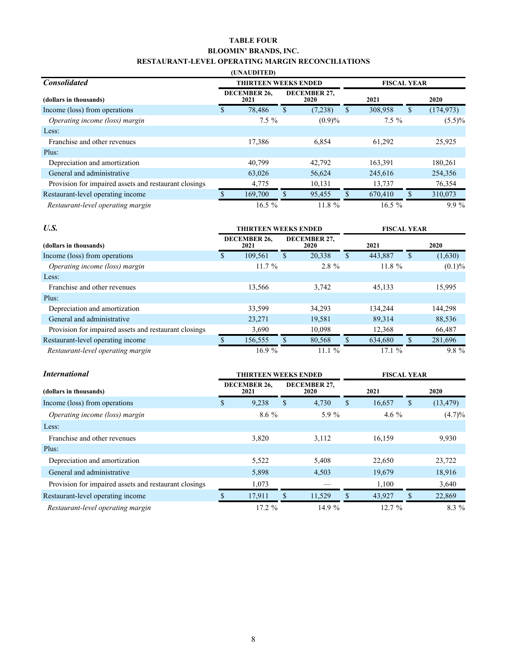### **TABLE FOUR BLOOMIN' BRANDS, INC. RESTAURANT-LEVEL OPERATING MARGIN RECONCILIATIONS**

|                                                       | (UNAUDITED)                 |                      |                    |    |            |  |  |
|-------------------------------------------------------|-----------------------------|----------------------|--------------------|----|------------|--|--|
| <b>Consolidated</b>                                   | <b>THIRTEEN WEEKS ENDED</b> |                      | <b>FISCAL YEAR</b> |    |            |  |  |
| (dollars in thousands)                                | <b>DECEMBER 26,</b><br>2021 | DECEMBER 27,<br>2020 | 2021               |    | 2020       |  |  |
| Income (loss) from operations                         | \$<br>78,486                | \$<br>(7,238)        | \$<br>308,958      | \$ | (174, 973) |  |  |
| Operating income (loss) margin                        | $7.5\%$                     | (0.9)%               | $7.5\%$            |    | $(5.5)\%$  |  |  |
| Less:                                                 |                             |                      |                    |    |            |  |  |
| Franchise and other revenues                          | 17,386                      | 6,854                | 61,292             |    | 25,925     |  |  |
| Plus:                                                 |                             |                      |                    |    |            |  |  |
| Depreciation and amortization                         | 40.799                      | 42,792               | 163,391            |    | 180,261    |  |  |
| General and administrative                            | 63,026                      | 56,624               | 245,616            |    | 254,356    |  |  |
| Provision for impaired assets and restaurant closings | 4,775                       | 10,131               | 13,737             |    | 76,354     |  |  |
| Restaurant-level operating income                     | 169,700                     | 95,455               | \$<br>670,410      |    | 310,073    |  |  |
| Restaurant-level operating margin                     | $16.5\%$                    | 11.8 %               | $16.5\%$           |    | $9.9\%$    |  |  |

| U.S.                                                  | <b>THIRTEEN WEEKS ENDED</b> |           |    |          |                      | <b>FISCAL YEAR</b> |      |         |  |      |
|-------------------------------------------------------|-----------------------------|-----------|----|----------|----------------------|--------------------|------|---------|--|------|
| (dollars in thousands)                                | DECEMBER 26,<br>2021        |           |    |          | DECEMBER 27,<br>2020 |                    | 2021 |         |  | 2020 |
| Income (loss) from operations                         |                             | 109.561   | \$ | 20.338   | \$                   | 443.887            | S    | (1,630) |  |      |
| Operating income (loss) margin                        |                             | $11.7 \%$ |    | $2.8 \%$ |                      | $11.8 \%$          |      | (0.1)%  |  |      |
| Less:                                                 |                             |           |    |          |                      |                    |      |         |  |      |
| Franchise and other revenues                          |                             | 13,566    |    | 3,742    |                      | 45,133             |      | 15,995  |  |      |
| Plus:                                                 |                             |           |    |          |                      |                    |      |         |  |      |
| Depreciation and amortization                         |                             | 33,599    |    | 34,293   |                      | 134.244            |      | 144.298 |  |      |
| General and administrative                            |                             | 23,271    |    | 19,581   |                      | 89,314             |      | 88,536  |  |      |
| Provision for impaired assets and restaurant closings |                             | 3,690     |    | 10,098   |                      | 12,368             |      | 66,487  |  |      |
| Restaurant-level operating income                     |                             | 156,555   | S  | 80,568   | \$                   | 634,680            |      | 281,696 |  |      |
| Restaurant-level operating margin                     |                             | 16.9%     |    | 11.1%    |                      | 17.1%              |      | $9.8\%$ |  |      |

| <i>International</i>                                  | <b>THIRTEEN WEEKS ENDED</b> |                             |    |                      |    | <b>FISCAL YEAR</b> |    |           |  |  |
|-------------------------------------------------------|-----------------------------|-----------------------------|----|----------------------|----|--------------------|----|-----------|--|--|
| (dollars in thousands)                                |                             | <b>DECEMBER 26,</b><br>2021 |    | DECEMBER 27,<br>2020 |    | 2021               |    | 2020      |  |  |
| Income (loss) from operations                         | \$                          | 9,238                       | \$ | 4,730                | S. | 16,657             | S. | (13, 479) |  |  |
| Operating income (loss) margin                        |                             | $8.6\%$                     |    | 5.9 %                |    | 4.6 $%$            |    | (4.7)%    |  |  |
| Less:                                                 |                             |                             |    |                      |    |                    |    |           |  |  |
| Franchise and other revenues                          |                             | 3,820                       |    | 3,112                |    | 16,159             |    | 9,930     |  |  |
| Plus:                                                 |                             |                             |    |                      |    |                    |    |           |  |  |
| Depreciation and amortization                         |                             | 5,522                       |    | 5,408                |    | 22,650             |    | 23,722    |  |  |
| General and administrative                            |                             | 5,898                       |    | 4,503                |    | 19,679             |    | 18,916    |  |  |
| Provision for impaired assets and restaurant closings |                             | 1,073                       |    |                      |    | 1,100              |    | 3,640     |  |  |
| Restaurant-level operating income                     |                             | 17,911                      | \$ | 11,529               | \$ | 43,927             | ъ  | 22,869    |  |  |
| Restaurant-level operating margin                     |                             | $17.2 \%$                   |    | 14.9%                |    | $12.7 \%$          |    | $8.3\%$   |  |  |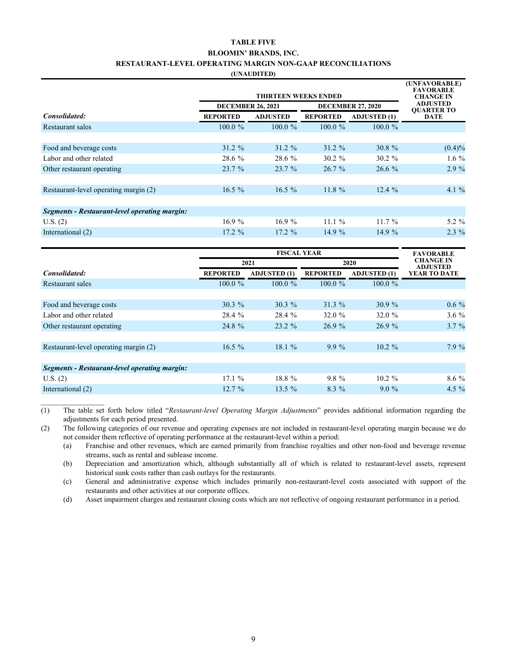### **TABLE FIVE BLOOMIN' BRANDS, INC. RESTAURANT-LEVEL OPERATING MARGIN NON-GAAP RECONCILIATIONS**

**(UNAUDITED)**

|                                               | <b>THIRTEEN WEEKS ENDED</b><br><b>DECEMBER 26, 2021</b><br><b>DECEMBER 27, 2020</b> |                 |                 |                     |                                  |  |  |  |  |  |
|-----------------------------------------------|-------------------------------------------------------------------------------------|-----------------|-----------------|---------------------|----------------------------------|--|--|--|--|--|
| Consolidated:                                 | <b>REPORTED</b>                                                                     | <b>ADJUSTED</b> | <b>REPORTED</b> | <b>ADJUSTED (1)</b> | <b>OUARTER TO</b><br><b>DATE</b> |  |  |  |  |  |
| Restaurant sales                              | $100.0 \%$                                                                          | $100.0 \%$      | $100.0 \%$      | $100.0 \%$          |                                  |  |  |  |  |  |
|                                               |                                                                                     |                 |                 |                     |                                  |  |  |  |  |  |
| Food and beverage costs                       | $31.2 \%$                                                                           | $31.2 \%$       | $31.2 \%$       | $30.8 \%$           | (0.4)%                           |  |  |  |  |  |
| Labor and other related                       | 28.6 %                                                                              | 28.6 %          | $30.2 \%$       | $30.2 \%$           | $1.6\%$                          |  |  |  |  |  |
| Other restaurant operating                    | 23.7%                                                                               | 23.7%           | 26.7%           | $26.6\%$            | 2.9%                             |  |  |  |  |  |
|                                               |                                                                                     |                 |                 |                     |                                  |  |  |  |  |  |
| Restaurant-level operating margin (2)         | $16.5\%$                                                                            | $16.5\%$        | $11.8 \%$       | 12.4%               | 4.1 $\%$                         |  |  |  |  |  |
|                                               |                                                                                     |                 |                 |                     |                                  |  |  |  |  |  |
| Segments - Restaurant-level operating margin: |                                                                                     |                 |                 |                     |                                  |  |  |  |  |  |
| U.S. (2)                                      | 16.9%                                                                               | 16.9%           | 11.1%           | $11.7\%$            | $5.2 \%$                         |  |  |  |  |  |
| International (2)                             | $17.2 \%$                                                                           | $17.2 \%$       | 14.9 $%$        | 14.9 %              | $2.3\%$                          |  |  |  |  |  |
|                                               |                                                                                     |                 |                 |                     |                                  |  |  |  |  |  |

|                                               |                 | <b>FAVORABLE</b>    |                 |                                     |              |
|-----------------------------------------------|-----------------|---------------------|-----------------|-------------------------------------|--------------|
|                                               |                 | 2021                | 2020            | <b>CHANGE IN</b><br><b>ADJUSTED</b> |              |
| Consolidated:                                 | <b>REPORTED</b> | <b>ADJUSTED (1)</b> | <b>REPORTED</b> | <b>ADJUSTED (1)</b>                 | YEAR TO DATE |
| Restaurant sales                              | $100.0 \%$      | $100.0 \%$          | $100.0 \%$      | $100.0 \%$                          |              |
|                                               |                 |                     |                 |                                     |              |
| Food and beverage costs                       | $30.3 \%$       | $30.3 \%$           | 31.3%           | 30.9%                               | $0.6\%$      |
| Labor and other related                       | 28.4 %          | 28.4 %              | 32.0 $%$        | 32.0 $%$                            | $3.6\%$      |
| Other restaurant operating                    | 24.8 %          | $23.2 \%$           | 26.9%           | 26.9%                               | $3.7\%$      |
|                                               |                 |                     |                 |                                     |              |
| Restaurant-level operating margin (2)         | $16.5\%$        | 18.1 %              | $9.9\%$         | $10.2 \%$                           | 7.9%         |
|                                               |                 |                     |                 |                                     |              |
| Segments - Restaurant-level operating margin: |                 |                     |                 |                                     |              |
| U.S. (2)                                      | 17.1%           | 18.8 %              | $9.8 \%$        | $10.2 \%$                           | $8.6\%$      |
| International (2)                             | $12.7 \%$       | $13.5\%$            | $8.3\%$         | $9.0\%$                             | 4.5 $\%$     |

(1) The table set forth below titled "*Restaurant-level Operating Margin Adjustments*" provides additional information regarding the adjustments for each period presented.

(2) The following categories of our revenue and operating expenses are not included in restaurant-level operating margin because we do not consider them reflective of operating performance at the restaurant-level within a period:

(a) Franchise and other revenues, which are earned primarily from franchise royalties and other non-food and beverage revenue streams, such as rental and sublease income.

(b) Depreciation and amortization which, although substantially all of which is related to restaurant-level assets, represent historical sunk costs rather than cash outlays for the restaurants.

(c) General and administrative expense which includes primarily non-restaurant-level costs associated with support of the restaurants and other activities at our corporate offices.

(d) Asset impairment charges and restaurant closing costs which are not reflective of ongoing restaurant performance in a period.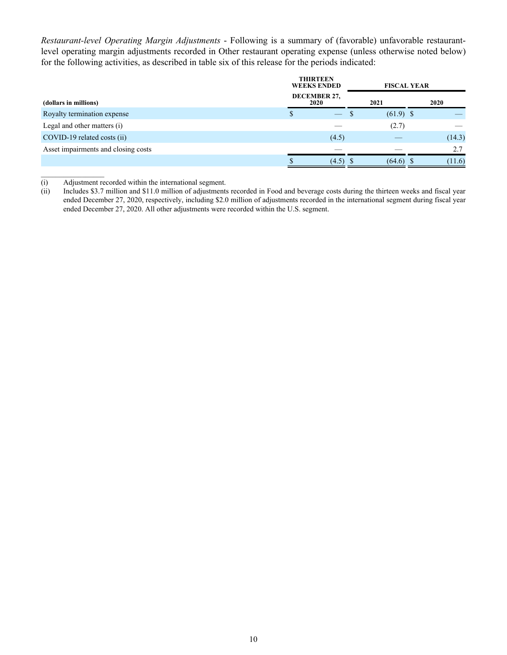*Restaurant-level Operating Margin Adjustments* - Following is a summary of (favorable) unfavorable restaurantlevel operating margin adjustments recorded in Other restaurant operating expense (unless otherwise noted below) for the following activities, as described in table six of this release for the periods indicated:

|                                     | <b>THIRTEEN</b><br><b>WEEKS ENDED</b> |   | <b>FISCAL YEAR</b> |  |        |
|-------------------------------------|---------------------------------------|---|--------------------|--|--------|
| (dollars in millions)               | DECEMBER 27,<br><b>2020</b>           |   | 2021               |  | 2020   |
| Royalty termination expense         | \$<br>$\overline{\phantom{0}}$        | S | $(61.9)$ \$        |  |        |
| Legal and other matters (i)         |                                       |   | (2.7)              |  |        |
| COVID-19 related costs (ii)         | (4.5)                                 |   |                    |  | (14.3) |
| Asset impairments and closing costs |                                       |   |                    |  | 2.7    |
|                                     | $(4.5)$ \$                            |   | $(64.6)$ \$        |  | (11.6) |

(i) Adjustment recorded within the international segment.<br>(ii) Includes \$3.7 million and \$11.0 million of adjustments

 $\mathcal{L}_\text{max}$ 

Includes \$3.7 million and \$11.0 million of adjustments recorded in Food and beverage costs during the thirteen weeks and fiscal year ended December 27, 2020, respectively, including \$2.0 million of adjustments recorded in the international segment during fiscal year ended December 27, 2020. All other adjustments were recorded within the U.S. segment.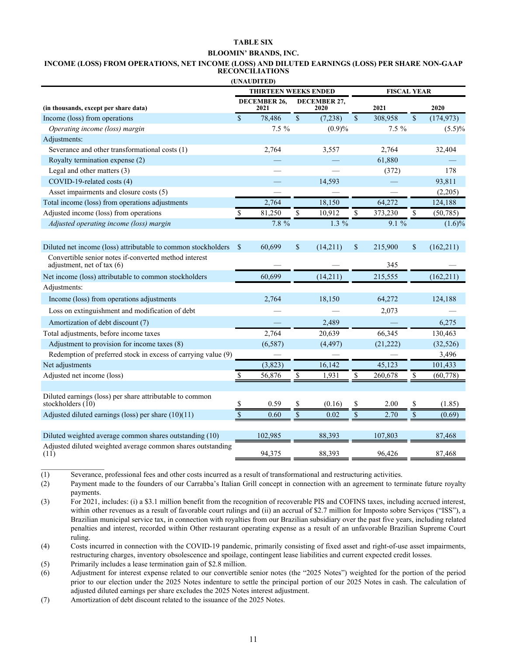### **TABLE SIX**

#### **BLOOMIN' BRANDS, INC.**

#### **INCOME (LOSS) FROM OPERATIONS, NET INCOME (LOSS) AND DILUTED EARNINGS (LOSS) PER SHARE NON-GAAP RECONCILIATIONS**

|                                                                                       |                    | (UNAUDITED)                                       |                 |                      |              |           |                    |            |
|---------------------------------------------------------------------------------------|--------------------|---------------------------------------------------|-----------------|----------------------|--------------|-----------|--------------------|------------|
|                                                                                       |                    | <b>THIRTEEN WEEKS ENDED</b><br><b>FISCAL YEAR</b> |                 |                      |              |           |                    |            |
| (in thousands, except per share data)                                                 |                    | <b>DECEMBER 26.</b><br>2021                       |                 | DECEMBER 27,<br>2020 |              | 2021      |                    | 2020       |
| Income (loss) from operations                                                         | $\mathbf{\hat{S}}$ | 78,486                                            | $\overline{\$}$ | (7,238)              | $\mathbb{S}$ | 308,958   | $\mathbf{\hat{S}}$ | (174, 973) |
| Operating income (loss) margin                                                        |                    | $7.5 \%$                                          |                 | (0.9)%               |              | $7.5 \%$  |                    | $(5.5)\%$  |
| Adjustments:                                                                          |                    |                                                   |                 |                      |              |           |                    |            |
| Severance and other transformational costs (1)                                        |                    | 2,764                                             |                 | 3,557                |              | 2,764     |                    | 32,404     |
| Royalty termination expense (2)                                                       |                    |                                                   |                 |                      |              | 61,880    |                    |            |
| Legal and other matters (3)                                                           |                    |                                                   |                 |                      |              | (372)     |                    | 178        |
| COVID-19-related costs (4)                                                            |                    |                                                   |                 | 14,593               |              |           |                    | 93,811     |
| Asset impairments and closure costs (5)                                               |                    |                                                   |                 |                      |              |           |                    | (2,205)    |
| Total income (loss) from operations adjustments                                       |                    | 2,764                                             |                 | 18,150               |              | 64,272    |                    | 124,188    |
| Adjusted income (loss) from operations                                                | $\mathbf S$        | 81,250                                            | \$              | 10,912               | $\mathbf S$  | 373,230   | $\mathbb{S}$       | (50, 785)  |
| Adjusted operating income (loss) margin                                               |                    | $7.8\%$                                           |                 | $1.3\%$              |              | $9.1\%$   |                    | $(1.6)\%$  |
|                                                                                       |                    |                                                   |                 |                      |              |           |                    |            |
| Diluted net income (loss) attributable to common stockholders                         | $\mathcal{S}$      | 60,699                                            | \$              | (14,211)             | \$           | 215,900   | \$                 | (162, 211) |
| Convertible senior notes if-converted method interest<br>adjustment, net of tax $(6)$ |                    |                                                   |                 |                      |              | 345       |                    |            |
| Net income (loss) attributable to common stockholders                                 |                    | 60,699                                            |                 | (14,211)             |              | 215,555   |                    | (162, 211) |
| Adjustments:                                                                          |                    |                                                   |                 |                      |              |           |                    |            |
| Income (loss) from operations adjustments                                             |                    | 2,764                                             |                 | 18,150               |              | 64,272    |                    | 124,188    |
| Loss on extinguishment and modification of debt                                       |                    |                                                   |                 |                      |              | 2,073     |                    |            |
| Amortization of debt discount (7)                                                     |                    |                                                   |                 | 2.489                |              |           |                    | 6,275      |
| Total adjustments, before income taxes                                                |                    | 2,764                                             |                 | 20,639               |              | 66,345    |                    | 130,463    |
| Adjustment to provision for income taxes (8)                                          |                    | (6, 587)                                          |                 | (4, 497)             |              | (21, 222) |                    | (32, 526)  |
| Redemption of preferred stock in excess of carrying value (9)                         |                    |                                                   |                 |                      |              |           |                    | 3,496      |
| Net adjustments                                                                       |                    | (3,823)                                           |                 | 16,142               |              | 45,123    |                    | 101,433    |
| Adjusted net income (loss)                                                            | <sup>S</sup>       | 56,876                                            | \$              | 1,931                | \$           | 260,678   | \$                 | (60, 778)  |
|                                                                                       |                    |                                                   |                 |                      |              |           |                    |            |
| Diluted earnings (loss) per share attributable to common<br>stockholders $(10)$       | \$                 | 0.59                                              |                 | (0.16)               |              | 2.00      | \$                 | (1.85)     |
| Adjusted diluted earnings (loss) per share $(10)(11)$                                 | \$                 | 0.60                                              | \$              | 0.02                 | \$           | 2.70      | $\overline{\$}$    | (0.69)     |
|                                                                                       |                    |                                                   |                 |                      |              |           |                    |            |
| Diluted weighted average common shares outstanding (10)                               |                    | 102,985                                           |                 | 88,393               |              | 107,803   |                    | 87,468     |
| Adjusted diluted weighted average common shares outstanding<br>(11)                   |                    | 94,375                                            |                 | 88,393               |              | 96,426    |                    | 87,468     |
|                                                                                       |                    |                                                   |                 |                      |              |           |                    |            |

(1) Severance, professional fees and other costs incurred as a result of transformational and restructuring activities.

(2) Payment made to the founders of our Carrabba's Italian Grill concept in connection with an agreement to terminate future royalty payments.

(3) For 2021, includes: (i) a \$3.1 million benefit from the recognition of recoverable PIS and COFINS taxes, including accrued interest, within other revenues as a result of favorable court rulings and (ii) an accrual of \$2.7 million for Imposto sobre Serviços ("ISS"), a Brazilian municipal service tax, in connection with royalties from our Brazilian subsidiary over the past five years, including related penalties and interest, recorded within Other restaurant operating expense as a result of an unfavorable Brazilian Supreme Court ruling.

(4) Costs incurred in connection with the COVID-19 pandemic, primarily consisting of fixed asset and right-of-use asset impairments, restructuring charges, inventory obsolescence and spoilage, contingent lease liabilities and current expected credit losses.

(5) Primarily includes a lease termination gain of \$2.8 million.

(6) Adjustment for interest expense related to our convertible senior notes (the "2025 Notes") weighted for the portion of the period prior to our election under the 2025 Notes indenture to settle the principal portion of our 2025 Notes in cash. The calculation of adjusted diluted earnings per share excludes the 2025 Notes interest adjustment.

(7) Amortization of debt discount related to the issuance of the 2025 Notes.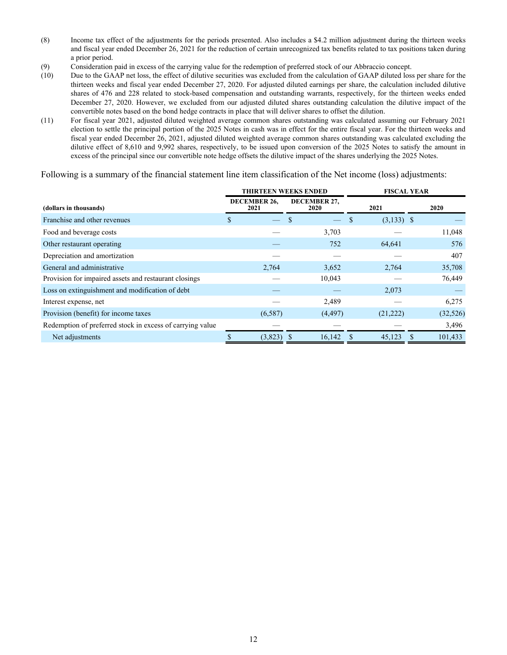- (8) Income tax effect of the adjustments for the periods presented. Also includes a \$4.2 million adjustment during the thirteen weeks and fiscal year ended December 26, 2021 for the reduction of certain unrecognized tax benefits related to tax positions taken during a prior period.
- (9) Consideration paid in excess of the carrying value for the redemption of preferred stock of our Abbraccio concept.
- (10) Due to the GAAP net loss, the effect of dilutive securities was excluded from the calculation of GAAP diluted loss per share for the thirteen weeks and fiscal year ended December 27, 2020. For adjusted diluted earnings per share, the calculation included dilutive shares of 476 and 228 related to stock-based compensation and outstanding warrants, respectively, for the thirteen weeks ended December 27, 2020. However, we excluded from our adjusted diluted shares outstanding calculation the dilutive impact of the convertible notes based on the bond hedge contracts in place that will deliver shares to offset the dilution.
- (11) For fiscal year 2021, adjusted diluted weighted average common shares outstanding was calculated assuming our February 2021 election to settle the principal portion of the 2025 Notes in cash was in effect for the entire fiscal year. For the thirteen weeks and fiscal year ended December 26, 2021, adjusted diluted weighted average common shares outstanding was calculated excluding the dilutive effect of 8,610 and 9,992 shares, respectively, to be issued upon conversion of the 2025 Notes to satisfy the amount in excess of the principal since our convertible note hedge offsets the dilutive impact of the shares underlying the 2025 Notes.

Following is a summary of the financial statement line item classification of the Net income (loss) adjustments:

|                                                           |                      | <b>THIRTEEN WEEKS ENDED</b> | <b>FISCAL YEAR</b> |           |  |
|-----------------------------------------------------------|----------------------|-----------------------------|--------------------|-----------|--|
| (dollars in thousands)                                    | DECEMBER 26,<br>2021 | DECEMBER 27,<br>2020        | 2021               | 2020      |  |
| Franchise and other revenues                              | S                    |                             | $(3,133)$ \$<br>\$ |           |  |
| Food and beverage costs                                   |                      | 3,703                       |                    | 11,048    |  |
| Other restaurant operating                                |                      | 752                         | 64,641             | 576       |  |
| Depreciation and amortization                             |                      |                             |                    | 407       |  |
| General and administrative                                | 2,764                | 3,652                       | 2,764              | 35,708    |  |
| Provision for impaired assets and restaurant closings     |                      | 10,043                      |                    | 76,449    |  |
| Loss on extinguishment and modification of debt           |                      |                             | 2,073              |           |  |
| Interest expense, net                                     |                      | 2,489                       |                    | 6,275     |  |
| Provision (benefit) for income taxes                      | (6,587)              | (4, 497)                    | (21, 222)          | (32, 526) |  |
| Redemption of preferred stock in excess of carrying value |                      |                             |                    | 3,496     |  |
| Net adjustments                                           | (3,823)              | 16,142                      | 45,123<br>-S       | 101,433   |  |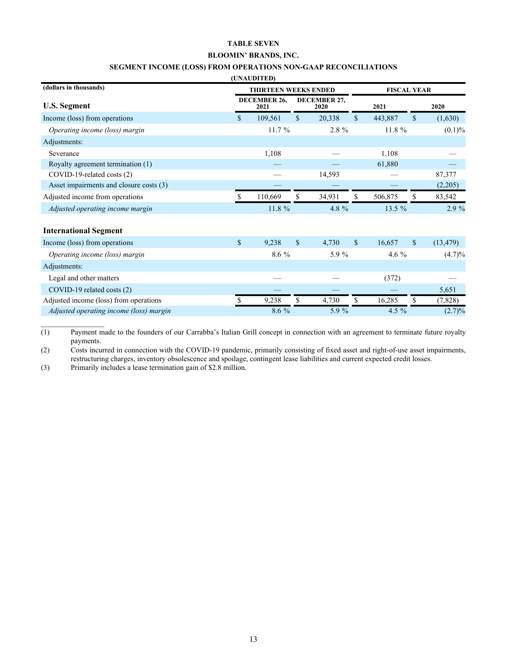#### **TABLE SEVEN**

### **BLOOMIN' BRANDS, INC.**

### **SEGMENT INCOME (LOSS) FROM OPERATIONS NON-GAAP RECONCILIATIONS**

| (UNAUDITED) |  |  |
|-------------|--|--|

| (dollars in thousands)                  | <b>THIRTEEN WEEKS ENDED</b> |    |                      | <b>FISCAL YEAR</b> |          |              |           |
|-----------------------------------------|-----------------------------|----|----------------------|--------------------|----------|--------------|-----------|
| <b>U.S. Segment</b>                     | DECEMBER 26,<br>2021        |    | DECEMBER 27,<br>2020 |                    | 2021     |              | 2020      |
| Income (loss) from operations           | \$<br>109,561               | \$ | 20,338               | \$                 | 443,887  | $\mathbb{S}$ | (1,630)   |
| Operating income (loss) margin          | 11.7 %                      |    | 2.8 %                |                    | 11.8 %   |              | $(0.1)\%$ |
| Adjustments:                            |                             |    |                      |                    |          |              |           |
| Severance                               | 1,108                       |    |                      |                    | 1,108    |              |           |
| Royalty agreement termination (1)       |                             |    |                      |                    | 61,880   |              |           |
| COVID-19-related costs (2)              |                             |    | 14,593               |                    |          |              | 87,377    |
| Asset impairments and closure costs (3) |                             |    |                      |                    |          |              | (2,205)   |
| Adjusted income from operations         | 110,669                     | \$ | 34,931               | \$                 | 506,875  | \$           | 83,542    |
| Adjusted operating income margin        | 11.8 %                      |    | 4.8 %                |                    | 13.5 $%$ |              | 2.9 %     |
| <b>International Segment</b>            |                             |    |                      |                    |          |              |           |
| Income (loss) from operations           | \$<br>9,238                 | \$ | 4,730                | $\mathbf{\$}$      | 16,657   | $\mathbf S$  | (13, 479) |
| Operating income (loss) margin          | 8.6 %                       |    | 5.9 %                |                    | 4.6 $%$  |              | (4.7)%    |
| Adjustments:                            |                             |    |                      |                    |          |              |           |
| Legal and other matters                 |                             |    |                      |                    | (372)    |              |           |
| COVID-19 related costs (2)              |                             |    |                      |                    |          |              | 5,651     |
| Adjusted income (loss) from operations  | 9,238                       | \$ | 4,730                | \$                 | 16,285   | \$           | (7, 828)  |
| Adjusted operating income (loss) margin | 8.6 %                       |    | 5.9 %                |                    | 4.5 %    |              | $(2.7)\%$ |

 $\overline{(1)}$  Payment made to the founders of our Carrabba's Italian Grill concept in connection with an agreement to terminate future royalty payments.

(2) Costs incurred in connection with the COVID-19 pandemic, primarily consisting of fixed asset and right-of-use asset impairments, restructuring charges, inventory obsolescence and spoilage, contingent lease liabilities and current expected credit losses.

(3) Primarily includes a lease termination gain of \$2.8 million.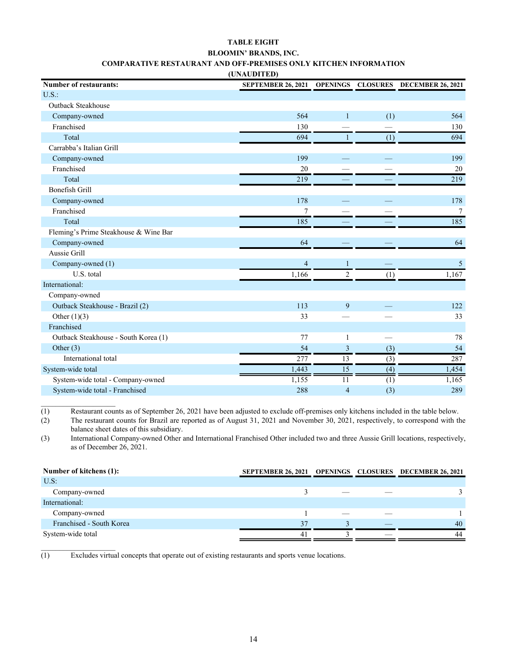### **TABLE EIGHT BLOOMIN' BRANDS, INC. COMPARATIVE RESTAURANT AND OFF-PREMISES ONLY KITCHEN INFORMATION**

| (UNAUDITED) |  |
|-------------|--|
|             |  |

| <b>Number of restaurants:</b>         | SEPTEMBER 26, 2021 OPENINGS CLOSURES DECEMBER 26, 2021 |                |     |                |
|---------------------------------------|--------------------------------------------------------|----------------|-----|----------------|
| $U.S.$ :                              |                                                        |                |     |                |
| <b>Outback Steakhouse</b>             |                                                        |                |     |                |
| Company-owned                         | 564                                                    |                | (1) | 564            |
| Franchised                            | 130                                                    |                |     | 130            |
| Total                                 | 694                                                    |                | (1) | 694            |
| Carrabba's Italian Grill              |                                                        |                |     |                |
| Company-owned                         | 199                                                    |                |     | 199            |
| Franchised                            | 20                                                     |                |     | 20             |
| Total                                 | 219                                                    |                |     | 219            |
| <b>Bonefish Grill</b>                 |                                                        |                |     |                |
| Company-owned                         | 178                                                    |                |     | 178            |
| Franchised                            | $\overline{7}$                                         |                |     | $\overline{7}$ |
| Total                                 | 185                                                    |                |     | 185            |
| Fleming's Prime Steakhouse & Wine Bar |                                                        |                |     |                |
| Company-owned                         | 64                                                     |                |     | 64             |
| Aussie Grill                          |                                                        |                |     |                |
| Company-owned (1)                     | $\overline{4}$                                         |                |     | $\mathfrak{S}$ |
| U.S. total                            | 1,166                                                  | $\overline{c}$ | (1) | 1,167          |
| International:                        |                                                        |                |     |                |
| Company-owned                         |                                                        |                |     |                |
| Outback Steakhouse - Brazil (2)       | 113                                                    | 9              |     | 122            |
| Other $(1)(3)$                        | 33                                                     |                |     | 33             |
| Franchised                            |                                                        |                |     |                |
| Outback Steakhouse - South Korea (1)  | 77                                                     |                |     | 78             |
| Other $(3)$                           | 54                                                     | $\mathbf{3}$   | (3) | 54             |
| International total                   | 277                                                    | 13             | (3) | 287            |
| System-wide total                     | 1,443                                                  | 15             | (4) | 1,454          |
| System-wide total - Company-owned     | 1,155                                                  | 11             | (1) | 1,165          |
| System-wide total - Franchised        | 288                                                    | $\overline{4}$ | (3) | 289            |

(1) Restaurant counts as of September 26, 2021 have been adjusted to exclude off-premises only kitchens included in the table below.

(2) The restaurant counts for Brazil are reported as of August 31, 2021 and November 30, 2021, respectively, to correspond with the balance sheet dates of this subsidiary.

(3) International Company-owned Other and International Franchised Other included two and three Aussie Grill locations, respectively, as of December 26, 2021.

| Number of kitchens (1):  | SEPTEMBER 26, 2021 OPENINGS CLOSURES DECEMBER 26, 2021 |  |    |
|--------------------------|--------------------------------------------------------|--|----|
| $U.S$ :                  |                                                        |  |    |
| Company-owned            |                                                        |  |    |
| International:           |                                                        |  |    |
| Company-owned            |                                                        |  |    |
| Franchised - South Korea | 37                                                     |  | 40 |
| System-wide total        | 4 <sup>1</sup>                                         |  | 44 |

(1) Excludes virtual concepts that operate out of existing restaurants and sports venue locations.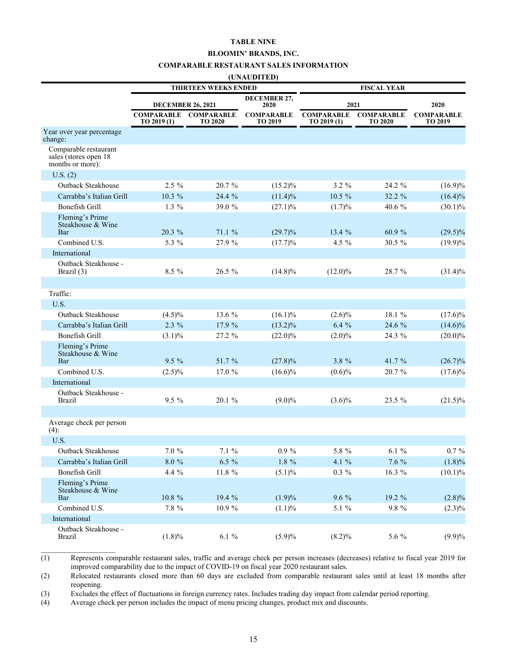#### **TABLE NINE**

#### **BLOOMIN' BRANDS, INC.**

#### **COMPARABLE RESTAURANT SALES INFORMATION**

#### **(UNAUDITED)**

|                                                                    | <b>THIRTEEN WEEKS ENDED</b>      |                                     | <b>FISCAL YEAR</b>           |                                  |                                     |                              |
|--------------------------------------------------------------------|----------------------------------|-------------------------------------|------------------------------|----------------------------------|-------------------------------------|------------------------------|
|                                                                    | <b>DECEMBER 26, 2021</b>         |                                     | DECEMBER 27,<br>2020         | 2021                             |                                     | 2020                         |
|                                                                    | <b>COMPARABLE</b><br>TO 2019 (1) | <b>COMPARABLE</b><br><b>TO 2020</b> | <b>COMPARABLE</b><br>TO 2019 | <b>COMPARABLE</b><br>TO 2019 (1) | <b>COMPARABLE</b><br><b>TO 2020</b> | <b>COMPARABLE</b><br>TO 2019 |
| Year over year percentage<br>change:                               |                                  |                                     |                              |                                  |                                     |                              |
| Comparable restaurant<br>sales (stores open 18<br>months or more): |                                  |                                     |                              |                                  |                                     |                              |
| U.S. (2)                                                           |                                  |                                     |                              |                                  |                                     |                              |
| <b>Outback Steakhouse</b>                                          | 2.5 %                            | 20.7 %                              | $(15.2)\%$                   | $3.2 \%$                         | 24.2 %                              | $(16.9)\%$                   |
| Carrabba's Italian Grill                                           | 10.3 %                           | 24.4 %                              | $(11.4)\%$                   | 10.5 %                           | 32.2 %                              | $(16.4)\%$                   |
| Bonefish Grill                                                     | $1.3\%$                          | 39.0 %                              | $(27.1)\%$                   | (1.7)%                           | 40.6 %                              | $(30.1)\%$                   |
| Fleming's Prime<br>Steakhouse & Wine<br>Bar                        | 20.3 %                           | 71.1 %                              | $(29.7)\%$                   | 13.4 %                           | 60.9 %                              | $(29.5)\%$                   |
| Combined U.S.                                                      | 5.3 %                            | 27.9 %                              | (17.7)%                      | 4.5 %                            | $30.5 \%$                           | $(19.9)\%$                   |
| International                                                      |                                  |                                     |                              |                                  |                                     |                              |
| Outback Steakhouse -<br>Brazil (3)                                 | 8.5 %                            | 26.5 %                              | $(14.8)\%$                   | $(12.0)\%$                       | 28.7 %                              | $(31.4)\%$                   |
|                                                                    |                                  |                                     |                              |                                  |                                     |                              |
| Traffic:                                                           |                                  |                                     |                              |                                  |                                     |                              |
| U.S.                                                               |                                  |                                     |                              |                                  |                                     |                              |
| <b>Outback Steakhouse</b>                                          | $(4.5)\%$                        | 13.6 %                              | $(16.1)\%$                   | $(2.6)\%$                        | 18.1 %                              | $(17.6)\%$                   |
| Carrabba's Italian Grill                                           | $2.3\%$                          | 17.9 %                              | $(13.2)\%$                   | 6.4%                             | 24.6 %                              | $(14.6)\%$                   |
| <b>Bonefish Grill</b>                                              | $(3.1)\%$                        | 27.2 %                              | $(22.0)\%$                   | $(2.0)\%$                        | 24.3 %                              | $(20.0)\%$                   |
| Fleming's Prime<br>Steakhouse & Wine<br>Bar                        | $9.5\%$                          | 51.7 %                              | $(27.8)\%$                   | 3.8 %                            | 41.7 %                              | $(26.7)\%$                   |
| Combined U.S.                                                      | $(2.5)\%$                        | 17.0 %                              | $(16.6)\%$                   | $(0.6)\%$                        | 20.7 %                              | $(17.6)\%$                   |
| International                                                      |                                  |                                     |                              |                                  |                                     |                              |
| Outback Steakhouse -<br><b>Brazil</b>                              | 9.5 %                            | 20.1 %                              | $(9.0)\%$                    | $(3.6)\%$                        | 23.5 %                              | $(21.5)\%$                   |
| Average check per person                                           |                                  |                                     |                              |                                  |                                     |                              |
| $(4)$ :                                                            |                                  |                                     |                              |                                  |                                     |                              |
| U.S.                                                               |                                  |                                     |                              |                                  |                                     |                              |
| Outback Steakhouse                                                 | $7.0\ \%$                        | $7.1 \%$                            | $0.9 \%$                     | 5.8 %                            | 6.1%                                | $0.7 \%$                     |
| Carrabba's Italian Grill                                           | $8.0 \%$                         | $6.5 \%$                            | $1.8 \%$                     | 4.1 $%$                          | $7.6\%$                             | (1.8)%                       |
| <b>Bonefish Grill</b>                                              | 4.4 %                            | 11.8 $%$                            | $(5.1)\%$                    | $0.3~\%$                         | 16.3 %                              | (10.1)%                      |
| Fleming's Prime<br>Steakhouse & Wine<br>Bar                        | $10.8~\%$                        | 19.4 %                              | (1.9)%                       | $9.6\%$                          | 19.2 %                              |                              |
| Combined U.S.                                                      | $7.8~\%$                         | 10.9%                               | $(1.1)\%$                    | $5.1 \%$                         | $9.8~\%$                            | $(2.8)\%$<br>$(2.3)\%$       |
| International                                                      |                                  |                                     |                              |                                  |                                     |                              |
| Outback Steakhouse -                                               |                                  |                                     |                              |                                  |                                     |                              |
| <b>Brazil</b>                                                      | $(1.8)\%$                        | $6.1~\%$                            | $(5.9)\%$                    | $(8.2)\%$                        | 5.6 %                               | $(9.9)\%$                    |

(1) Represents comparable restaurant sales, traffic and average check per person increases (decreases) relative to fiscal year 2019 for improved comparability due to the impact of COVID-19 on fiscal year 2020 restaurant sales.

(2) Relocated restaurants closed more than 60 days are excluded from comparable restaurant sales until at least 18 months after reopening.

(3) Excludes the effect of fluctuations in foreign currency rates. Includes trading day impact from calendar period reporting.

(4) Average check per person includes the impact of menu pricing changes, product mix and discounts.